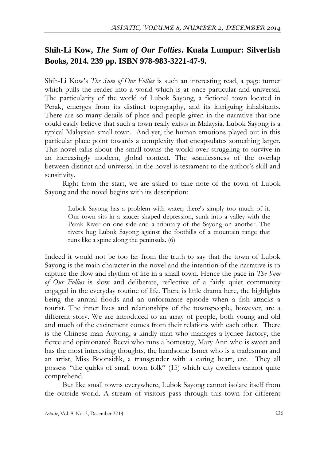## **Shih-Li Kow,** *The Sum of Our Follies***. Kuala Lumpur: Silverfish Books, 2014. 239 pp. ISBN 978-983-3221-47-9.**

Shih-Li Kow's *The Sum of Our Follies* is such an interesting read, a page turner which pulls the reader into a world which is at once particular and universal. The particularity of the world of Lubok Sayong, a fictional town located in Perak, emerges from its distinct topography, and its intriguing inhabitants. There are so many details of place and people given in the narrative that one could easily believe that such a town really exists in Malaysia. Lubok Sayong is a typical Malaysian small town. And yet, the human emotions played out in this particular place point towards a complexity that encapsulates something larger. This novel talks about the small towns the world over struggling to survive in an increasingly modern, global context. The seamlessness of the overlap between distinct and universal in the novel is testament to the author's skill and sensitivity.

Right from the start, we are asked to take note of the town of Lubok Sayong and the novel begins with its description:

Lubok Sayong has a problem with water; there's simply too much of it. Our town sits in a saucer-shaped depression, sunk into a valley with the Perak River on one side and a tributary of the Sayong on another. The rivers hug Lubok Sayong against the foothills of a mountain range that runs like a spine along the peninsula. (6)

Indeed it would not be too far from the truth to say that the town of Lubok Sayong is the main character in the novel and the intention of the narrative is to capture the flow and rhythm of life in a small town. Hence the pace in *The Sum of Our Follies* is slow and deliberate, reflective of a fairly quiet community engaged in the everyday routine of life. There is little drama here, the highlights being the annual floods and an unfortunate episode when a fish attacks a tourist. The inner lives and relationships of the townspeople, however, are a different story. We are introduced to an array of people, both young and old and much of the excitement comes from their relations with each other. There is the Chinese man Auyong, a kindly man who manages a lychee factory, the fierce and opinionated Beevi who runs a homestay, Mary Ann who is sweet and has the most interesting thoughts, the handsome Ismet who is a tradesman and an artist, Miss Boonsidik, a transgender with a caring heart, etc. They all possess "the quirks of small town folk" (15) which city dwellers cannot quite comprehend.

But like small towns everywhere, Lubok Sayong cannot isolate itself from the outside world. A stream of visitors pass through this town for different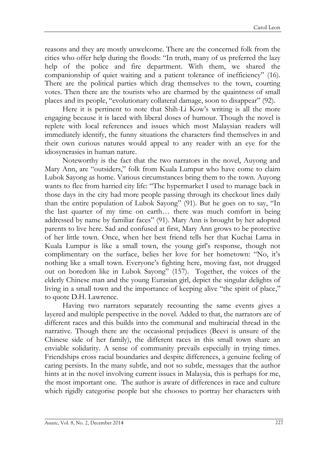reasons and they are mostly unwelcome. There are the concerned folk from the cities who offer help during the floods: "In truth, many of us preferred the lazy help of the police and fire department. With them, we shared the companionship of quiet waiting and a patient tolerance of inefficiency" (16). There are the political parties which drag themselves to the town, courting votes. Then there are the tourists who are charmed by the quaintness of small places and its people, "evolutionary collateral damage, soon to disappear" (92).

Here it is pertinent to note that Shih-Li Kow's writing is all the more engaging because it is laced with liberal doses of humour. Though the novel is replete with local references and issues which most Malaysian readers will immediately identify, the funny situations the characters find themselves in and their own curious natures would appeal to any reader with an eye for the idiosyncrasies in human nature.

Noteworthy is the fact that the two narrators in the novel, Auyong and Mary Ann, are "outsiders," folk from Kuala Lumpur who have come to claim Lubok Sayong as home. Various circumstances bring them to the town. Auyong wants to flee from harried city life: "The hypermarket I used to manage back in those days in the city had more people passing through its checkout lines daily than the entire population of Lubok Sayong" (91). But he goes on to say, "In the last quarter of my time on earth… there was much comfort in being addressed by name by familiar faces" (91). Mary Ann is brought by her adopted parents to live here. Sad and confused at first, Mary Ann grows to be protective of her little town. Once, when her best friend tells her that Kuchai Lama in Kuala Lumpur is like a small town, the young girl's response, though not complimentary on the surface, belies her love for her hometown: "No, it's nothing like a small town. Everyone's fighting here, moving fast, not drugged out on boredom like in Lubok Sayong" (157). Together, the voices of the elderly Chinese man and the young Eurasian girl, depict the singular delights of living in a small town and the importance of keeping alive "the spirit of place," to quote D.H. Lawrence.

Having two narrators separately recounting the same events gives a layered and multiple perspective in the novel. Added to that, the narrators are of different races and this builds into the communal and multiracial thread in the narrative. Though there are the occasional prejudices (Beevi is unsure of the Chinese side of her family), the different races in this small town share an enviable solidarity. A sense of community prevails especially in trying times. Friendships cross racial boundaries and despite differences, a genuine feeling of caring persists. In the many subtle, and not so subtle, messages that the author hints at in the novel involving current issues in Malaysia, this is perhaps for me, the most important one. The author is aware of differences in race and culture which rigidly categorise people but she chooses to portray her characters with